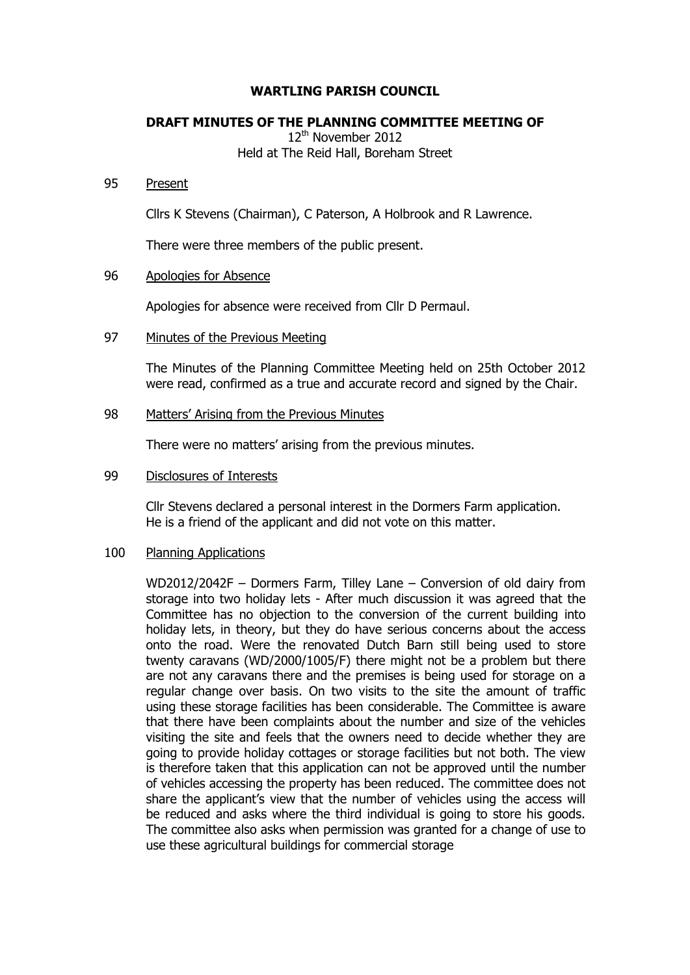# **WARTLING PARISH COUNCIL**

## **DRAFT MINUTES OF THE PLANNING COMMITTEE MEETING OF**

12<sup>th</sup> November 2012 Held at The Reid Hall, Boreham Street

#### 95 Present

Cllrs K Stevens (Chairman), C Paterson, A Holbrook and R Lawrence.

There were three members of the public present.

## 96 Apologies for Absence

Apologies for absence were received from Cllr D Permaul.

### 97 Minutes of the Previous Meeting

The Minutes of the Planning Committee Meeting held on 25th October 2012 were read, confirmed as a true and accurate record and signed by the Chair.

### 98 Matters' Arising from the Previous Minutes

There were no matters' arising from the previous minutes.

## 99 Disclosures of Interests

Cllr Stevens declared a personal interest in the Dormers Farm application. He is a friend of the applicant and did not vote on this matter.

#### 100 Planning Applications

WD2012/2042F – Dormers Farm, Tilley Lane – Conversion of old dairy from storage into two holiday lets - After much discussion it was agreed that the Committee has no objection to the conversion of the current building into holiday lets, in theory, but they do have serious concerns about the access onto the road. Were the renovated Dutch Barn still being used to store twenty caravans (WD/2000/1005/F) there might not be a problem but there are not any caravans there and the premises is being used for storage on a regular change over basis. On two visits to the site the amount of traffic using these storage facilities has been considerable. The Committee is aware that there have been complaints about the number and size of the vehicles visiting the site and feels that the owners need to decide whether they are going to provide holiday cottages or storage facilities but not both. The view is therefore taken that this application can not be approved until the number of vehicles accessing the property has been reduced. The committee does not share the applicant's view that the number of vehicles using the access will be reduced and asks where the third individual is going to store his goods. The committee also asks when permission was granted for a change of use to use these agricultural buildings for commercial storage